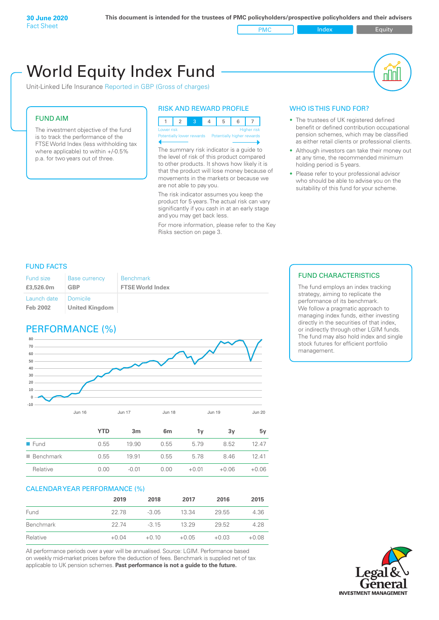PMC Index PMC Equity

# World Equity Index Fund

Unit-Linked Life Insurance Reported in GBP (Gross of charges)

### FUND AIM

The investment objective of the fund is to track the performance of the FTSE World Index (less withholding tax where applicable) to within +/-0.5% p.a. for two years out of three.

### RISK AND REWARD PROFILE



Potentially lower rewards Potentially higher rewards

The summary risk indicator is a guide to the level of risk of this product compared to other products. It shows how likely it is that the product will lose money because of movements in the markets or because we are not able to pay you.

The risk indicator assumes you keep the product for 5 years. The actual risk can vary significantly if you cash in at an early stage and you may get back less.

For more information, please refer to the Key Risks section on page 3.

### WHO IS THIS FUND FOR?

- The trustees of UK registered defined benefit or defined contribution occupational pension schemes, which may be classified as either retail clients or professional clients.
- Although investors can take their money out at any time, the recommended minimum holding period is 5 years.
- Please refer to your professional advisor who should be able to advise you on the suitability of this fund for your scheme.

### FUND FACTS

| Fund size<br>£3,526.0m | <b>Base currency</b><br><b>GBP</b> | <b>Benchmark</b><br><b>FTSE World Index</b> |
|------------------------|------------------------------------|---------------------------------------------|
| Launch date            | <b>Domicile</b>                    |                                             |
| Feb 2002               | <b>United Kingdom</b>              |                                             |

## PERFORMANCE (%)



|                          | <b>YTD</b> | 3 <sub>m</sub> | 6 <sub>m</sub> | 1ν      | 3v      | 5y      |
|--------------------------|------------|----------------|----------------|---------|---------|---------|
| $\blacksquare$ Fund      | 0.55       | 19.90          | 0.55           | 5.79    | 8.52    | 12.47   |
| $\blacksquare$ Benchmark | 0.55       | 19.91          | 0.55           | 5.78    | 8.46    | 12.41   |
| Relative                 | 0.00       | $-0.01$        | 0.00           | $+0.01$ | $+0.06$ | $+0.06$ |

### CALENDAR YEAR PERFORMANCE (%)

|           | 2019    | 2018    | 2017    | 2016    | 2015    |
|-----------|---------|---------|---------|---------|---------|
| Fund      | 22.78   | $-3.05$ | 13.34   | 29.55   | 4.36    |
| Benchmark | 22.74   | $-315$  | 13 29   | 29.52   | 4.28    |
| Relative  | $+0.04$ | $+0.10$ | $+0.05$ | $+0.03$ | $+0.08$ |

All performance periods over a year will be annualised. Source: LGIM. Performance based on weekly mid-market prices before the deduction of fees. Benchmark is supplied net of tax applicable to UK pension schemes. **Past performance is not a guide to the future.**

### FUND CHARACTERISTICS

The fund employs an index tracking strategy, aiming to replicate the performance of its benchmark. We follow a pragmatic approach to managing index funds, either investing directly in the securities of that index, or indirectly through other LGIM funds. The fund may also hold index and single stock futures for efficient portfolio management.

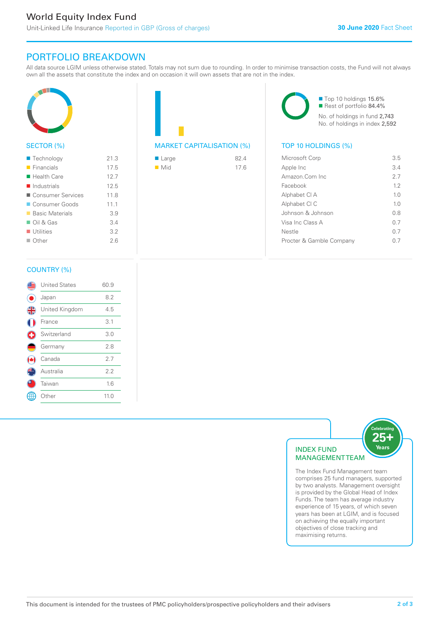# PORTFOLIO BREAKDOWN

All data source LGIM unless otherwise stated. Totals may not sum due to rounding. In order to minimise transaction costs, the Fund will not always own all the assets that constitute the index and on occasion it will own assets that are not in the index.



### SECTOR (%)

| $\blacksquare$ Technology  | 21.3 |
|----------------------------|------|
| $\blacksquare$ Financials  | 17.5 |
| $\blacksquare$ Health Care | 12.7 |
| Industrials                | 125  |
| ■ Consumer Services        | 11.8 |
| Consumer Goods             | 11.1 |
| ■ Basic Materials          | 3.9  |
| $\Box$ Oil & Gas           | 3.4  |
| $\blacksquare$ Utilities   | 3.2  |
| $\Box$ Other               | 26   |
|                            |      |



| $\blacksquare$ Large | 82.4 |
|----------------------|------|
| $\blacksquare$ Mid   | 17.6 |

■ Top 10 holdings 15.6% Rest of portfolio 84.4% No. of holdings in fund 2,743 No. of holdings in index 2,592

| Microsoft Corp           | 35             |
|--------------------------|----------------|
| Apple Inc                | 3.4            |
| Amazon.Com Inc.          | 27             |
| Facebook                 | 12             |
| Alphabet CI A            | 10             |
| Alphabet CI C            | 1 <sub>0</sub> |
| Johnson & Johnson        | 0 S            |
| Visa Inc Class A         | 0 7            |
| Nestle                   | 0 7            |
| Procter & Gamble Company |                |
|                          |                |

### COUNTRY (%)

|   | <b>United States</b> | 60.9 |  |
|---|----------------------|------|--|
|   | Japan                | 8.2  |  |
| 4 | United Kingdom       | 4.5  |  |
|   | France               | 3.1  |  |
|   | Switzerland          | 3.0  |  |
|   | Germany              | 2.8  |  |
|   | Canada               | 2.7  |  |
|   | Australia            | 2.2  |  |
|   | Taiwan               | 1.6  |  |
|   | Other                | 11.0 |  |
|   |                      |      |  |



comprises 25 fund managers, supported by two analysts. Management oversight is provided by the Global Head of Index Funds. The team has average industry experience of 15 years, of which seven years has been at LGIM, and is focused on achieving the equally important objectives of close tracking and maximising returns.